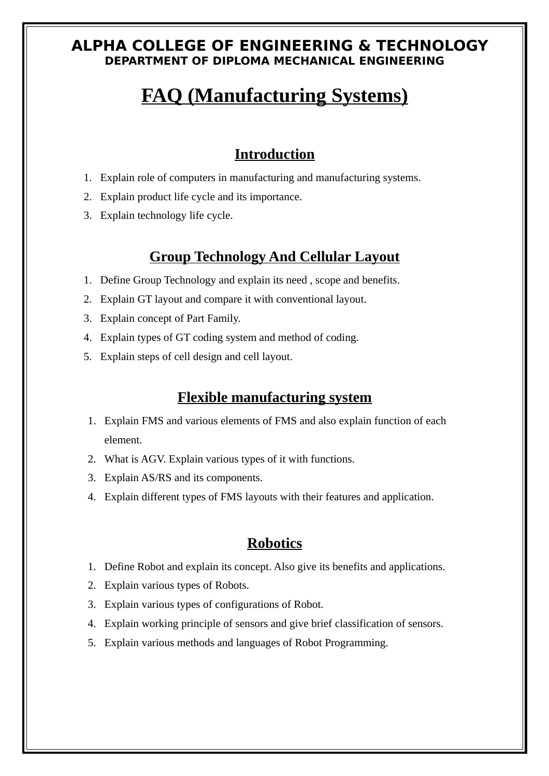#### **ALPHA COLLEGE OF ENGINEERING & TECHNOLOGY DEPARTMENT OF DIPLOMA MECHANICAL ENGINEERING**

# **FAQ (Manufacturing Systems)**

### **Introduction**

- 1. Explain role of computers in manufacturing and manufacturing systems.
- 2. Explain product life cycle and its importance.
- 3. Explain technology life cycle.

## **Group Technology And Cellular Layout**

- 1. Define Group Technology and explain its need , scope and benefits.
- 2. Explain GT layout and compare it with conventional layout.
- 3. Explain concept of Part Family.
- 4. Explain types of GT coding system and method of coding.
- 5. Explain steps of cell design and cell layout.

#### **Flexible manufacturing system**

- 1. Explain FMS and various elements of FMS and also explain function of each element.
- 2. What is AGV. Explain various types of it with functions.
- 3. Explain AS/RS and its components.
- 4. Explain different types of FMS layouts with their features and application.

#### **Robotics**

- 1. Define Robot and explain its concept. Also give its benefits and applications.
- 2. Explain various types of Robots.
- 3. Explain various types of configurations of Robot.
- 4. Explain working principle of sensors and give brief classification of sensors.
- 5. Explain various methods and languages of Robot Programming.